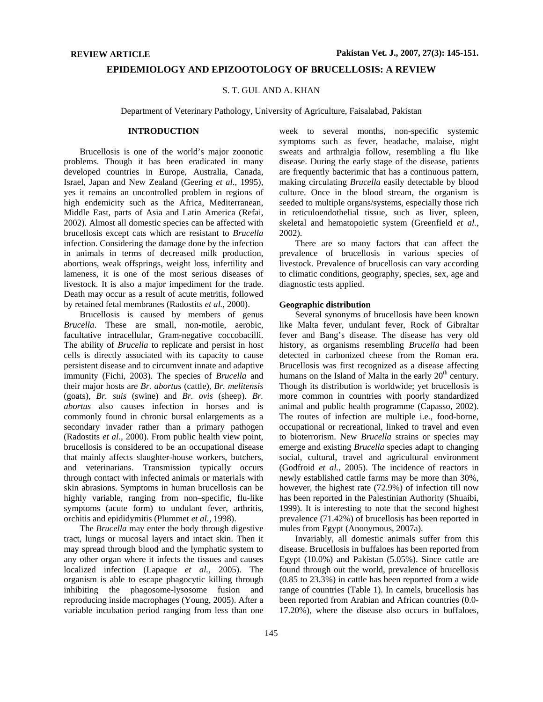# **EPIDEMIOLOGY AND EPIZOOTOLOGY OF BRUCELLOSIS: A REVIEW**

## S. T. GUL AND A. KHAN

Department of Veterinary Pathology, University of Agriculture, Faisalabad, Pakistan

# **INTRODUCTION**

Brucellosis is one of the world's major zoonotic problems. Though it has been eradicated in many developed countries in Europe, Australia, Canada, Israel, Japan and New Zealand (Geering *et al*., 1995), yes it remains an uncontrolled problem in regions of high endemicity such as the Africa, Mediterranean, Middle East, parts of Asia and Latin America (Refai, 2002). Almost all domestic species can be affected with brucellosis except cats which are resistant to *Brucella*  infection. Considering the damage done by the infection in animals in terms of decreased milk production, abortions, weak offsprings, weight loss, infertility and lameness, it is one of the most serious diseases of livestock. It is also a major impediment for the trade. Death may occur as a result of acute metritis, followed by retained fetal membranes (Radostits *et al.,* 2000).

Brucellosis is caused by members of genus *Brucella*. These are small, non-motile, aerobic, facultative intracellular, Gram-negative coccobacilli. The ability of *Brucella* to replicate and persist in host cells is directly associated with its capacity to cause persistent disease and to circumvent innate and adaptive immunity (Fichi, 2003). The species of *Brucella* and their major hosts are *Br. abortus* (cattle), *Br. melitensis* (goats), *Br. suis* (swine) and *Br. ovis* (sheep). *Br. abortus* also causes infection in horses and is commonly found in chronic bursal enlargements as a secondary invader rather than a primary pathogen (Radostits *et al.,* 2000). From public health view point, brucellosis is considered to be an occupational disease that mainly affects slaughter-house workers, butchers, and veterinarians. Transmission typically occurs through contact with infected animals or materials with skin abrasions. Symptoms in human brucellosis can be highly variable, ranging from non–specific, flu-like symptoms (acute form) to undulant fever, arthritis, orchitis and epididymitis (Plummet *et al.,* 1998).

The *Brucella* may enter the body through digestive tract, lungs or mucosal layers and intact skin. Then it may spread through blood and the lymphatic system to any other organ where it infects the tissues and causes localized infection (Lapaque *et al.,* 2005). The organism is able to escape phagocytic killing through inhibiting the phagosome-lysosome fusion and reproducing inside macrophages (Young, 2005). After a variable incubation period ranging from less than one

week to several months, non-specific systemic symptoms such as fever, headache, malaise, night sweats and arthralgia follow, resembling a flu like disease. During the early stage of the disease, patients are frequently bacterimic that has a continuous pattern, making circulating *Brucella* easily detectable by blood culture. Once in the blood stream, the organism is seeded to multiple organs/systems, especially those rich in reticuloendothelial tissue, such as liver, spleen, skeletal and hematopoietic system (Greenfield *et al.,* 2002).

There are so many factors that can affect the prevalence of brucellosis in various species of livestock. Prevalence of brucellosis can vary according to climatic conditions, geography, species, sex, age and diagnostic tests applied.

# **Geographic distribution**

Several synonyms of brucellosis have been known like Malta fever, undulant fever, Rock of Gibraltar fever and Bang's disease. The disease has very old history, as organisms resembling *Brucella* had been detected in carbonized cheese from the Roman era. Brucellosis was first recognized as a disease affecting humans on the Island of Malta in the early  $20<sup>th</sup>$  century. Though its distribution is worldwide; yet brucellosis is more common in countries with poorly standardized animal and public health programme (Capasso, 2002). The routes of infection are multiple i.e., food-borne, occupational or recreational, linked to travel and even to bioterrorism. New *Brucella* strains or species may emerge and existing *Brucella* species adapt to changing social, cultural, travel and agricultural environment (Godfroid *et al.,* 2005). The incidence of reactors in newly established cattle farms may be more than 30%, however, the highest rate (72.9%) of infection till now has been reported in the Palestinian Authority (Shuaibi, 1999). It is interesting to note that the second highest prevalence (71.42%) of brucellosis has been reported in mules from Egypt (Anonymous, 2007a).

Invariably, all domestic animals suffer from this disease. Brucellosis in buffaloes has been reported from Egypt (10.0%) and Pakistan (5.05%). Since cattle are found through out the world, prevalence of brucellosis (0.85 to 23.3%) in cattle has been reported from a wide range of countries (Table 1). In camels, brucellosis has been reported from Arabian and African countries (0.0- 17.20%), where the disease also occurs in buffaloes,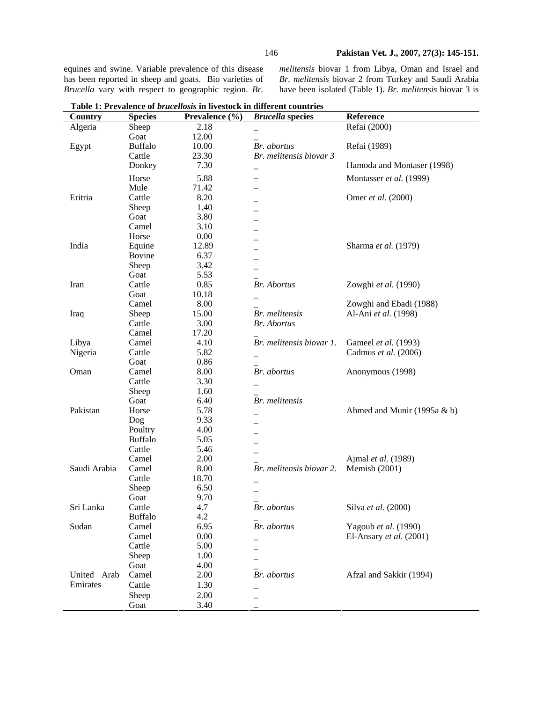equines and swine. Variable prevalence of this disease has been reported in sheep and goats. Bio varieties of *Brucella* vary with respect to geographic region. *Br.* 

*melitensis* biovar 1 from Libya, Oman and Israel and *Br. melitensis* biovar 2 from Turkey and Saudi Arabia have been isolated (Table 1). *Br. melitensis* biovar 3 is

| Country      | <b>Species</b> | Prevalence (%) | <b>Brucella</b> species  | Reference                      |
|--------------|----------------|----------------|--------------------------|--------------------------------|
| Algeria      | Sheep          | 2.18           |                          | Refai (2000)                   |
|              | Goat           | 12.00          |                          |                                |
| Egypt        | <b>Buffalo</b> | 10.00          | Br. abortus              | Refai (1989)                   |
|              | Cattle         | 23.30          | Br. melitensis biovar 3  |                                |
|              | Donkey         | 7.30           |                          | Hamoda and Montaser (1998)     |
|              | Horse          | 5.88           |                          | Montasser et al. (1999)        |
|              | Mule           | 71.42          |                          |                                |
| Eritria      | Cattle         | 8.20           |                          | Omer et al. (2000)             |
|              | Sheep          | 1.40           |                          |                                |
|              | Goat           | 3.80           |                          |                                |
|              | Camel          | 3.10           |                          |                                |
|              | Horse          | 0.00           |                          |                                |
| India        | Equine         | 12.89          |                          | Sharma et al. (1979)           |
|              | Bovine         | 6.37           |                          |                                |
|              | Sheep          | 3.42           |                          |                                |
|              | Goat           | 5.53           |                          |                                |
| Iran         | Cattle         | 0.85           | <b>Br.</b> Abortus       | Zowghi et al. (1990)           |
|              | Goat           | 10.18          |                          |                                |
|              | Camel          | 8.00           |                          | Zowghi and Ebadi (1988)        |
| Iraq         | Sheep          | 15.00          | Br. melitensis           | Al-Ani et al. (1998)           |
|              | Cattle         | 3.00           | <b>Br.</b> Abortus       |                                |
|              | Camel          | 17.20          |                          |                                |
| Libya        | Camel          | 4.10           | Br. melitensis biovar 1. | Gameel et al. (1993)           |
| Nigeria      | Cattle         | 5.82           |                          | Cadmus et al. (2006)           |
|              | Goat           | 0.86           |                          |                                |
| Oman         | Camel          | 8.00           | Br. abortus              | Anonymous (1998)               |
|              | Cattle         | 3.30           |                          |                                |
|              | Sheep          | 1.60           |                          |                                |
|              | Goat           | 6.40           | Br. melitensis           |                                |
| Pakistan     | Horse          | 5.78           |                          | Ahmed and Munir $(1995a \& b)$ |
|              | Dog            | 9.33           |                          |                                |
|              | Poultry        | 4.00           |                          |                                |
|              | <b>Buffalo</b> | 5.05           |                          |                                |
|              | Cattle         | 5.46           |                          |                                |
|              | Camel          | 2.00           |                          | Ajmal et al. (1989)            |
| Saudi Arabia | Camel          | 8.00           | Br. melitensis biovar 2. | Memish (2001)                  |
|              | Cattle         | 18.70          |                          |                                |
|              | Sheep          | 6.50           |                          |                                |
|              | Goat           | 9.70           |                          |                                |
| Sri Lanka    | Cattle         | 4.7            | Br. abortus              | Silva et al. (2000)            |
|              | <b>Buffalo</b> | 4.2            |                          |                                |
| Sudan        | Camel          | 6.95           | Br. abortus              | Yagoub et al. (1990)           |
|              | Camel          | 0.00           |                          | El-Ansary et al. (2001)        |
|              | Cattle         | 5.00           |                          |                                |
|              | Sheep          | 1.00           |                          |                                |
|              | Goat           | 4.00           |                          |                                |
| United Arab  | Camel          | 2.00           | Br. abortus              | Afzal and Sakkir (1994)        |
| Emirates     | Cattle         | 1.30           |                          |                                |
|              | Sheep          | 2.00           |                          |                                |
|              | Goat           | 3.40           |                          |                                |

**Table 1: Prevalence of** *brucellosis* **in livestock in different countries**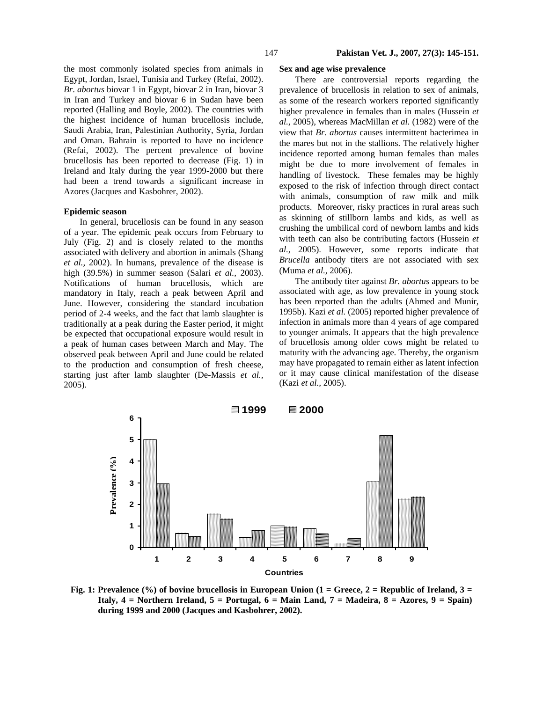the most commonly isolated species from animals in Egypt, Jordan, Israel, Tunisia and Turkey (Refai, 2002). *Br*. *abortus* biovar 1 in Egypt, biovar 2 in Iran, biovar 3 in Iran and Turkey and biovar 6 in Sudan have been reported (Halling and Boyle, 2002). The countries with the highest incidence of human brucellosis include, Saudi Arabia, Iran, Palestinian Authority, Syria, Jordan and Oman. Bahrain is reported to have no incidence (Refai, 2002). The percent prevalence of bovine brucellosis has been reported to decrease (Fig. 1) in Ireland and Italy during the year 1999-2000 but there had been a trend towards a significant increase in Azores (Jacques and Kasbohrer, 2002).

#### **Epidemic season**

In general, brucellosis can be found in any season of a year. The epidemic peak occurs from February to July (Fig. 2) and is closely related to the months associated with delivery and abortion in animals (Shang *et al.,* 2002). In humans, prevalence of the disease is high (39.5%) in summer season (Salari *et al.,* 2003). Notifications of human brucellosis, which are mandatory in Italy, reach a peak between April and June. However, considering the standard incubation period of 2-4 weeks, and the fact that lamb slaughter is traditionally at a peak during the Easter period, it might be expected that occupational exposure would result in a peak of human cases between March and May. The observed peak between April and June could be related to the production and consumption of fresh cheese, starting just after lamb slaughter (De-Massis *et al.,* 2005).

#### **Sex and age wise prevalence**

There are controversial reports regarding the prevalence of brucellosis in relation to sex of animals, as some of the research workers reported significantly higher prevalence in females than in males (Hussein *et al.,* 2005), whereas MacMillan *et al*. (1982) were of the view that *Br. abortus* causes intermittent bacterimea in the mares but not in the stallions. The relatively higher incidence reported among human females than males might be due to more involvement of females in handling of livestock. These females may be highly exposed to the risk of infection through direct contact with animals, consumption of raw milk and milk products. Moreover, risky practices in rural areas such as skinning of stillborn lambs and kids, as well as crushing the umbilical cord of newborn lambs and kids with teeth can also be contributing factors (Hussein *et al.,* 2005). However, some reports indicate that *Brucella* antibody titers are not associated with sex (Muma *et al.,* 2006).

The antibody titer against *Br. abortus* appears to be associated with age, as low prevalence in young stock has been reported than the adults (Ahmed and Munir, 1995b). Kazi *et al.* (2005) reported higher prevalence of infection in animals more than 4 years of age compared to younger animals. It appears that the high prevalence of brucellosis among older cows might be related to maturity with the advancing age. Thereby, the organism may have propagated to remain either as latent infection or it may cause clinical manifestation of the disease (Kazi *et al.,* 2005).



Fig. 1: Prevalence (%) of bovine brucellosis in European Union (1 = Greece, 2 = Republic of Ireland, 3 = **Italy, 4 = Northern Ireland, 5 = Portugal, 6 = Main Land, 7 = Madeira, 8 = Azores, 9 = Spain)**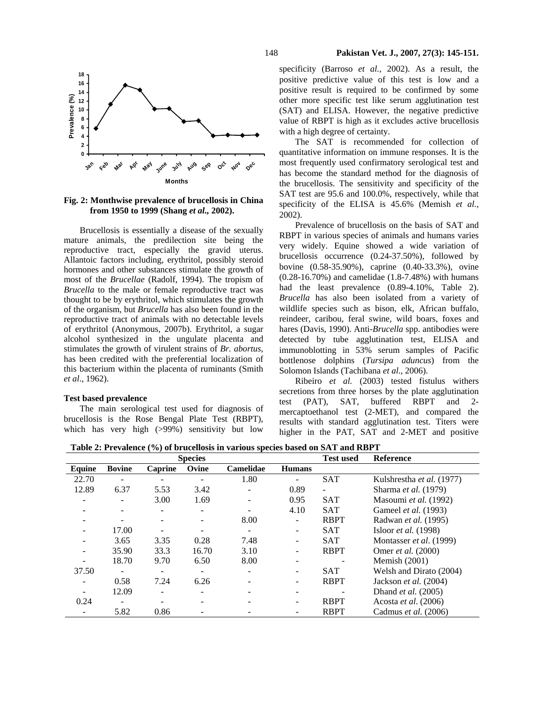

## **Fig. 2: Monthwise prevalence of brucellosis in China from 1950 to 1999 (Shang** *et al.,* **2002).**

Brucellosis is essentially a disease of the sexually mature animals, the predilection site being the reproductive tract, especially the gravid uterus. Allantoic factors including, erythritol, possibly steroid hormones and other substances stimulate the growth of most of the *Brucellae* (Radolf, 1994). The tropism of *Brucella* to the male or female reproductive tract was thought to be by erythritol, which stimulates the growth of the organism, but *Brucella* has also been found in the reproductive tract of animals with no detectable levels of erythritol (Anonymous, 2007b). Erythritol, a sugar alcohol synthesized in the ungulate placenta and stimulates the growth of virulent strains of *Br. abortus*, has been credited with the preferential localization of this bacterium within the placenta of ruminants (Smith *et al*., 1962).

# **Test based prevalence**

The main serological test used for diagnosis of brucellosis is the Rose Bengal Plate Test (RBPT), which has very high (>99%) sensitivity but low specificity (Barroso *et al.,* 2002). As a result, the positive predictive value of this test is low and a positive result is required to be confirmed by some other more specific test like serum agglutination test (SAT) and ELISA. However, the negative predictive value of RBPT is high as it excludes active brucellosis with a high degree of certainty.

The SAT is recommended for collection of quantitative information on immune responses. It is the most frequently used confirmatory serological test and has become the standard method for the diagnosis of the brucellosis. The sensitivity and specificity of the SAT test are 95.6 and 100.0%, respectively, while that specificity of the ELISA is 45.6% (Memish *et al.,* 2002).

Prevalence of brucellosis on the basis of SAT and RBPT in various species of animals and humans varies very widely. Equine showed a wide variation of brucellosis occurrence (0.24-37.50%), followed by bovine (0.58-35.90%), caprine (0.40-33.3%), ovine (0.28-16.70%) and camelidae (1.8-7.48%) with humans had the least prevalence  $(0.89-4.10\%$ , Table 2). *Brucella* has also been isolated from a variety of wildlife species such as bison, elk, African buffalo, reindeer, caribou, feral swine, wild boars, foxes and hares (Davis, 1990). Anti-*Brucella* spp. antibodies were detected by tube agglutination test, ELISA and immunoblotting in 53% serum samples of Pacific bottlenose dolphins (*Tursipa aduncus*) from the Solomon Islands (Tachibana *et al*., 2006).

Ribeiro *et al.* (2003) tested fistulus withers secretions from three horses by the plate agglutination test (PAT), SAT, buffered RBPT and 2 mercaptoethanol test (2-MET), and compared the results with standard agglutination test. Titers were higher in the PAT, SAT and 2-MET and positive

**Table 2: Prevalence (%) of brucellosis in various species based on SAT and RBPT** 

|               | <b>Species</b>           |         |       |                  |               |             | Reference                    |
|---------------|--------------------------|---------|-------|------------------|---------------|-------------|------------------------------|
| <b>Equine</b> | <b>Bovine</b>            | Caprine | Ovine | <b>Camelidae</b> | <b>Humans</b> |             |                              |
| 22.70         | $\overline{\phantom{a}}$ |         |       | 1.80             |               | <b>SAT</b>  | Kulshrestha et al. (1977)    |
| 12.89         | 6.37                     | 5.53    | 3.42  |                  | 0.89          |             | Sharma <i>et al.</i> (1979)  |
|               | $\overline{\phantom{0}}$ | 3.00    | 1.69  |                  | 0.95          | <b>SAT</b>  | Masoumi et al. (1992)        |
|               |                          |         |       |                  | 4.10          | <b>SAT</b>  | Gameel <i>et al.</i> (1993)  |
|               | $\overline{\phantom{a}}$ |         |       | 8.00             |               | <b>RBPT</b> | Radwan <i>et al.</i> (1995)  |
|               | 17.00                    |         |       |                  |               | <b>SAT</b>  | Isloor <i>et al.</i> (1998)  |
|               | 3.65                     | 3.35    | 0.28  | 7.48             |               | <b>SAT</b>  | Montasser et al. (1999)      |
|               | 35.90                    | 33.3    | 16.70 | 3.10             |               | <b>RBPT</b> | Omer <i>et al.</i> (2000)    |
|               | 18.70                    | 9.70    | 6.50  | 8.00             |               |             | Memish $(2001)$              |
| 37.50         | $\overline{\phantom{a}}$ |         |       |                  |               | <b>SAT</b>  | Welsh and Dirato (2004)      |
|               | 0.58                     | 7.24    | 6.26  |                  |               | <b>RBPT</b> | Jackson <i>et al.</i> (2004) |
|               | 12.09                    |         |       |                  |               |             | Dhand <i>et al.</i> (2005)   |
| 0.24          |                          |         |       |                  |               | <b>RBPT</b> | Acosta et al. (2006)         |
|               | 5.82                     | 0.86    |       |                  |               | <b>RBPT</b> | Cadmus et al. (2006)         |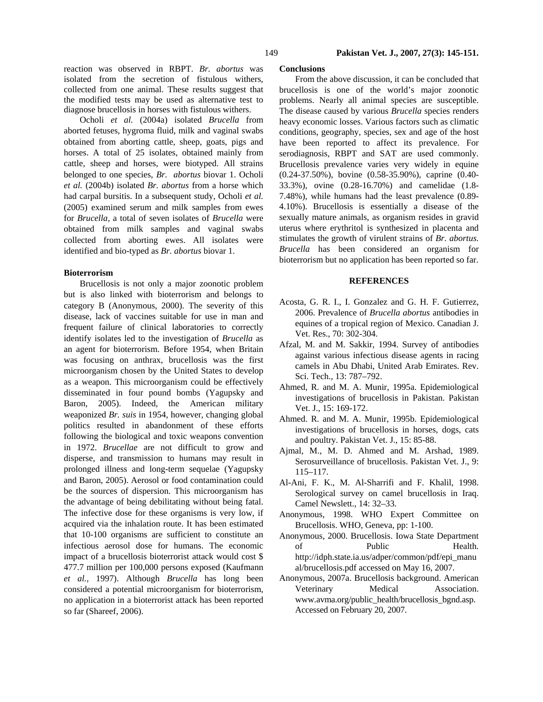reaction was observed in RBPT. *Br. abortus* was isolated from the secretion of fistulous withers, collected from one animal. These results suggest that the modified tests may be used as alternative test to diagnose brucellosis in horses with fistulous withers.

Ocholi *et al.* (2004a) isolated *Brucella* from aborted fetuses, hygroma fluid, milk and vaginal swabs obtained from aborting cattle, sheep, goats, pigs and horses. A total of 25 isolates, obtained mainly from cattle, sheep and horses, were biotyped. All strains belonged to one species, *Br. abortus* biovar 1. Ocholi *et al.* (2004b) isolated *Br. abortus* from a horse which had carpal bursitis. In a subsequent study, Ocholi *et al.* (2005) examined serum and milk samples from ewes for *Brucella,* a total of seven isolates of *Brucella* were obtained from milk samples and vaginal swabs collected from aborting ewes. All isolates were identified and bio-typed as *Br. abortus* biovar 1.

## **Bioterrorism**

Brucellosis is not only a major zoonotic problem but is also linked with bioterrorism and belongs to category B (Anonymous, 2000). The severity of this disease, lack of vaccines suitable for use in man and frequent failure of clinical laboratories to correctly identify isolates led to the investigation of *Brucella* as an agent for bioterrorism. Before 1954, when Britain was focusing on anthrax, brucellosis was the first microorganism chosen by the United States to develop as a weapon. This microorganism could be effectively disseminated in four pound bombs (Yagupsky and Baron, 2005). Indeed, the American military weaponized *Br. suis* in 1954, however, changing global politics resulted in abandonment of these efforts following the biological and toxic weapons convention in 1972. *Brucellae* are not difficult to grow and disperse, and transmission to humans may result in prolonged illness and long-term sequelae (Yagupsky and Baron, 2005). Aerosol or food contamination could be the sources of dispersion. This microorganism has the advantage of being debilitating without being fatal. The infective dose for these organisms is very low, if acquired via the inhalation route. It has been estimated that 10-100 organisms are sufficient to constitute an infectious aerosol dose for humans. The economic impact of a brucellosis bioterrorist attack would cost \$ 477.7 million per 100,000 persons exposed (Kaufmann *et al.,* 1997). Although *Brucella* has long been considered a potential microorganism for bioterrorism, no application in a bioterrorist attack has been reported so far (Shareef, 2006).

#### **Conclusions**

From the above discussion, it can be concluded that brucellosis is one of the world's major zoonotic problems. Nearly all animal species are susceptible. The disease caused by various *Brucella* species renders heavy economic losses. Various factors such as climatic conditions, geography, species, sex and age of the host have been reported to affect its prevalence. For serodiagnosis, RBPT and SAT are used commonly. Brucellosis prevalence varies very widely in equine (0.24-37.50%), bovine (0.58-35.90%), caprine (0.40- 33.3%), ovine (0.28-16.70%) and camelidae (1.8- 7.48%), while humans had the least prevalence (0.89- 4.10%). Brucellosis is essentially a disease of the sexually mature animals, as organism resides in gravid uterus where erythritol is synthesized in placenta and stimulates the growth of virulent strains of *Br. abortus. Brucella* has been considered an organism for bioterrorism but no application has been reported so far.

#### **REFERENCES**

- Acosta, G. R. I., I. Gonzalez and G. H. F. Gutierrez, 2006. Prevalence of *Brucella abortus* antibodies in equines of a tropical region of Mexico. Canadian J. Vet. Res., 70: 302-304.
- Afzal, M. and M. Sakkir, 1994. Survey of antibodies against various infectious disease agents in racing camels in Abu Dhabi, United Arab Emirates. Rev. Sci. Tech., 13: 787–792.
- Ahmed, R. and M. A. Munir, 1995a. Epidemiological investigations of brucellosis in Pakistan. Pakistan Vet. J., 15: 169-172.
- Ahmed. R. and M. A. Munir, 1995b. Epidemiological investigations of brucellosis in horses, dogs, cats and poultry. Pakistan Vet. J., 15: 85-88.
- Ajmal, M., M. D. Ahmed and M. Arshad, 1989. Serosurveillance of brucellosis. Pakistan Vet. J., 9: 115–117.
- Al-Ani, F. K., M. Al-Sharrifi and F. Khalil, 1998. Serological survey on camel brucellosis in Iraq. Camel Newslett., 14: 32–33.
- Anonymous, 1998. WHO Expert Committee on Brucellosis. WHO, Geneva, pp: 1-100.
- Anonymous, 2000. Brucellosis. Iowa State Department of Public Health. http://idph.state.ia.us/adper/common/pdf/epi\_manu al/brucellosis.pdf accessed on May 16, 2007.
- Anonymous, 2007a. Brucellosis background. American Veterinary Medical Association. www.avma.org/public\_health/brucellosis\_bgnd.asp. Accessed on February 20, 2007.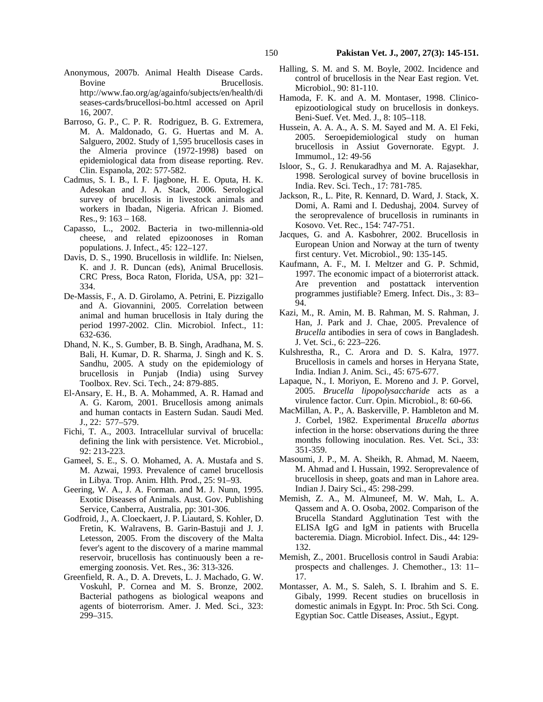- Anonymous, 2007b. Animal Health Disease Cards. Bovine Brucellosis. http://www.fao.org/ag/againfo/subjects/en/health/di seases-cards/brucellosi-bo.html accessed on April 16, 2007.
- Barroso, G. P., C. P. R. Rodriguez, B. G. Extremera, M. A. Maldonado, G. G. Huertas and M. A. Salguero, 2002. Study of 1,595 brucellosis cases in the Almeria province (1972-1998) based on epidemiological data from disease reporting. Rev. Clin. Espanola, 202: 577-582.
- Cadmus, S. I. B., I. F. Ijagbone, H. E. Oputa, H. K. Adesokan and J. A. Stack, 2006. Serological survey of brucellosis in livestock animals and workers in Ibadan, Nigeria. African J. Biomed. Res., 9: 163 – 168.
- Capasso, L., 2002. Bacteria in two-millennia-old cheese, and related epizoonoses in Roman populations. J. Infect., 45: 122–127.
- Davis, D. S., 1990. Brucellosis in wildlife. In: Nielsen, K. and J. R. Duncan (eds), Animal Brucellosis. CRC Press, Boca Raton, Florida, USA, pp: 321– 334.
- De-Massis, F., A. D. Girolamo, A. Petrini, E. Pizzigallo and A. Giovannini, 2005. Correlation between animal and human brucellosis in Italy during the period 1997-2002. Clin. Microbiol. Infect., 11: 632-636.
- Dhand, N. K., S. Gumber, B. B. Singh, Aradhana, M. S. Bali, H. Kumar, D. R. Sharma, J. Singh and K. S. Sandhu, 2005. A study on the epidemiology of brucellosis in Punjab (India) using Survey Toolbox. Rev. Sci. Tech., 24: 879-885.
- El-Ansary, E. H., B. A. Mohammed, A. R. Hamad and A. G. Karom, 2001. Brucellosis among animals and human contacts in Eastern Sudan. Saudi Med. J., 22: 577–579.
- Fichi, T. A., 2003. Intracellular survival of brucella: defining the link with persistence. Vet. Microbiol., 92: 213-223.
- Gameel, S. E., S. O. Mohamed, A. A. Mustafa and S. M. Azwai, 1993. Prevalence of camel brucellosis in Libya. Trop. Anim. Hlth. Prod., 25: 91–93.
- Geering, W. A., J. A. Forman. and M. J. Nunn, 1995. Exotic Diseases of Animals. Aust. Gov. Publishing Service, Canberra, Australia, pp: 301-306.
- Godfroid, J., A. Cloeckaert, J. P. Liautard, S. Kohler, D. Fretin, K. Walravens, B. Garin-Bastuji and J. J. Letesson, 2005. From the discovery of the Malta fever's agent to the discovery of a marine mammal reservoir, brucellosis has continuously been a reemerging zoonosis. Vet. Res., 36: 313-326.
- Greenfield, R. A., D. A. Drevets, L. J. Machado, G. W. Voskuhl, P. Cornea and M. S. Bronze, 2002. Bacterial pathogens as biological weapons and agents of bioterrorism. Amer. J. Med. Sci., 323: 299–315.
- Halling, S. M. and S. M. Boyle, 2002. Incidence and control of brucellosis in the Near East region. Vet. Microbiol., 90: 81-110.
- Hamoda, F. K. and A. M. Montaser, 1998. Clinicoepizootiological study on brucellosis in donkeys. Beni-Suef. Vet. Med. J., 8: 105–118.
- Hussein, A. A. A., A. S. M. Sayed and M. A. El Feki, 2005. Seroepidemiological study on human brucellosis in Assiut Governorate. Egypt. J. Immumol., 12: 49-56
- Isloor, S., G. J. Renukaradhya and M. A. Rajasekhar, 1998. Serological survey of bovine brucellosis in India. Rev. Sci. Tech., 17: 781-785.
- Jackson, R., L. Pite, R. Kennard, D. Ward, J. Stack, X. Domi, A. Rami and I. Dedushaj, 2004. Survey of the seroprevalence of brucellosis in ruminants in Kosovo. Vet. Rec., 154: 747-751.
- Jacques, G. and A. Kasbohrer, 2002. Brucellosis in European Union and Norway at the turn of twenty first century. Vet. Microbiol., 90: 135-145.
- Kaufmann, A. F., M. I. Meltzer and G. P. Schmid, 1997. The economic impact of a bioterrorist attack. Are prevention and postattack intervention programmes justifiable? Emerg. Infect. Dis., 3: 83– 94.
- Kazi, M., R. Amin, M. B. Rahman, M. S. Rahman, J. Han, J. Park and J. Chae, 2005. Prevalence of *Brucella* antibodies in sera of cows in Bangladesh. J. Vet. Sci., 6: 223–226.
- Kulshrestha, R., C. Arora and D. S. Kalra, 1977. Brucellosis in camels and horses in Heryana State, India. Indian J. Anim. Sci., 45: 675-677.
- Lapaque, N., I. Moriyon, E. Moreno and J. P. Gorvel, 2005. *Brucella lipopolysaccharide* acts as a virulence factor. Curr. Opin. Microbiol., 8: 60-66.
- MacMillan, A. P., A. Baskerville, P. Hambleton and M. J. Corbel, 1982. Experimental *Brucella abortus* infection in the horse: observations during the three months following inoculation. Res. Vet. Sci., 33: 351-359.
- Masoumi, J. P., M. A. Sheikh, R. Ahmad, M. Naeem, M. Ahmad and I. Hussain, 1992. Seroprevalence of brucellosis in sheep, goats and man in Lahore area. Indian J. Dairy Sci., 45: 298-299.
- Memish, Z. A., M. Almuneef, M. W. Mah, L. A. Qassem and A. O. Osoba, 2002. Comparison of the Brucella Standard Agglutination Test with the ELISA IgG and IgM in patients with Brucella bacteremia. Diagn. Microbiol. Infect. Dis., 44: 129- 132.
- Memish, Z., 2001. Brucellosis control in Saudi Arabia: prospects and challenges. J. Chemother., 13: 11– 17.
- Montasser, A. M., S. Saleh, S. I. Ibrahim and S. E. Gibaly, 1999. Recent studies on brucellosis in domestic animals in Egypt. In: Proc. 5th Sci. Cong. Egyptian Soc. Cattle Diseases, Assiut., Egypt.